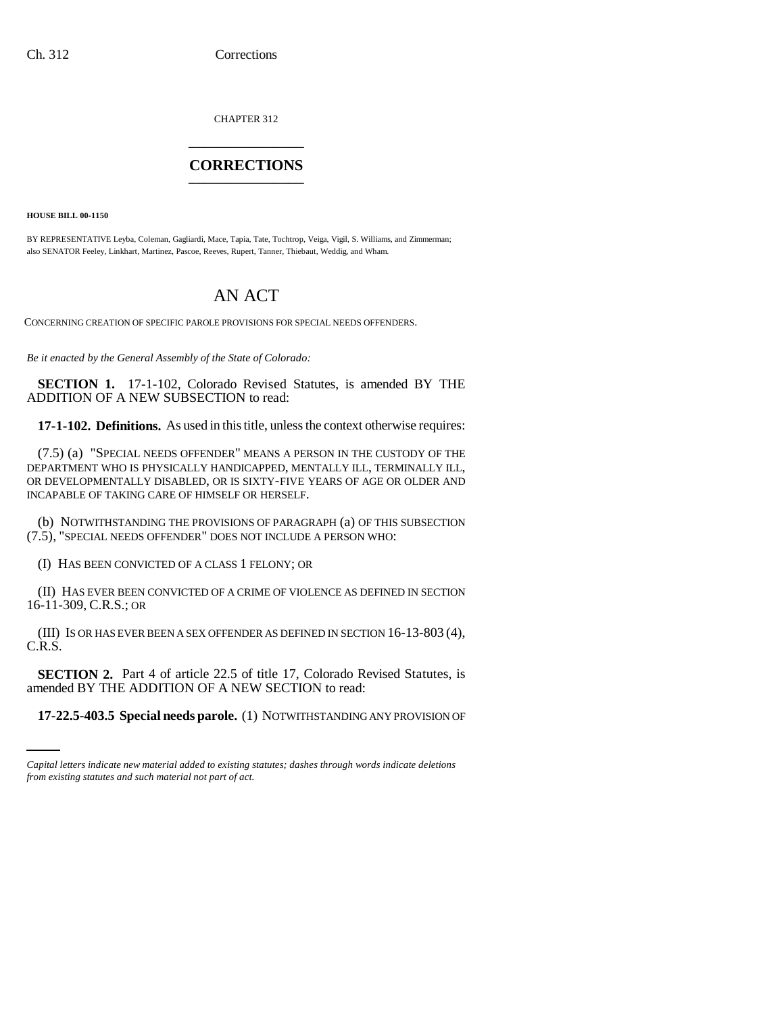CHAPTER 312 \_\_\_\_\_\_\_\_\_\_\_\_\_\_\_

## **CORRECTIONS** \_\_\_\_\_\_\_\_\_\_\_\_\_\_\_

**HOUSE BILL 00-1150** 

BY REPRESENTATIVE Leyba, Coleman, Gagliardi, Mace, Tapia, Tate, Tochtrop, Veiga, Vigil, S. Williams, and Zimmerman; also SENATOR Feeley, Linkhart, Martinez, Pascoe, Reeves, Rupert, Tanner, Thiebaut, Weddig, and Wham.

## AN ACT

CONCERNING CREATION OF SPECIFIC PAROLE PROVISIONS FOR SPECIAL NEEDS OFFENDERS.

*Be it enacted by the General Assembly of the State of Colorado:*

**SECTION 1.** 17-1-102, Colorado Revised Statutes, is amended BY THE ADDITION OF A NEW SUBSECTION to read:

**17-1-102. Definitions.** As used in this title, unless the context otherwise requires:

(7.5) (a) "SPECIAL NEEDS OFFENDER" MEANS A PERSON IN THE CUSTODY OF THE DEPARTMENT WHO IS PHYSICALLY HANDICAPPED, MENTALLY ILL, TERMINALLY ILL, OR DEVELOPMENTALLY DISABLED, OR IS SIXTY-FIVE YEARS OF AGE OR OLDER AND INCAPABLE OF TAKING CARE OF HIMSELF OR HERSELF.

(b) NOTWITHSTANDING THE PROVISIONS OF PARAGRAPH (a) OF THIS SUBSECTION (7.5), "SPECIAL NEEDS OFFENDER" DOES NOT INCLUDE A PERSON WHO:

(I) HAS BEEN CONVICTED OF A CLASS 1 FELONY; OR

(II) HAS EVER BEEN CONVICTED OF A CRIME OF VIOLENCE AS DEFINED IN SECTION 16-11-309, C.R.S.; OR

(III) IS OR HAS EVER BEEN A SEX OFFENDER AS DEFINED IN SECTION 16-13-803 (4), C.R.S.

amended BY THE ADDITION OF A NEW SECTION to read: **SECTION 2.** Part 4 of article 22.5 of title 17, Colorado Revised Statutes, is

**17-22.5-403.5 Special needs parole.** (1) NOTWITHSTANDING ANY PROVISION OF

*Capital letters indicate new material added to existing statutes; dashes through words indicate deletions from existing statutes and such material not part of act.*